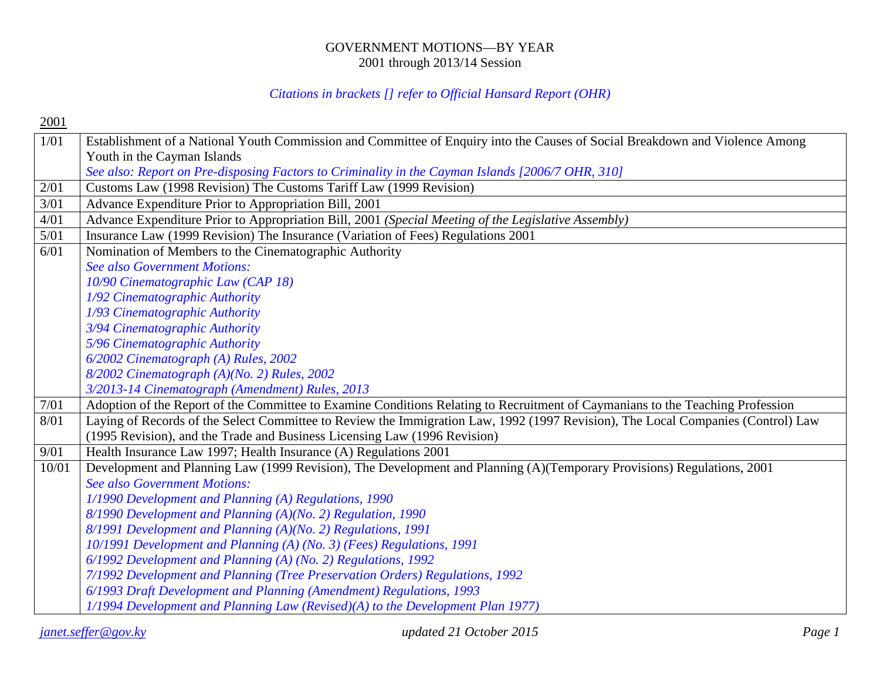#### GOVERNMENT MOTIONS—BY YEAR 2001 through 2013/14 Session

#### *Citations in brackets [] refer to Official Hansard Report (OHR)*

2001

| 1/01  | Establishment of a National Youth Commission and Committee of Enquiry into the Causes of Social Breakdown and Violence Among     |
|-------|----------------------------------------------------------------------------------------------------------------------------------|
|       | Youth in the Cayman Islands                                                                                                      |
|       | See also: Report on Pre-disposing Factors to Criminality in the Cayman Islands [2006/7 OHR, 310]                                 |
| 2/01  | Customs Law (1998 Revision) The Customs Tariff Law (1999 Revision)                                                               |
| 3/01  | Advance Expenditure Prior to Appropriation Bill, 2001                                                                            |
| 4/01  | Advance Expenditure Prior to Appropriation Bill, 2001 (Special Meeting of the Legislative Assembly)                              |
| 5/01  | Insurance Law (1999 Revision) The Insurance (Variation of Fees) Regulations 2001                                                 |
| 6/01  | Nomination of Members to the Cinematographic Authority                                                                           |
|       | <b>See also Government Motions:</b>                                                                                              |
|       | 10/90 Cinematographic Law (CAP 18)                                                                                               |
|       | 1/92 Cinematographic Authority                                                                                                   |
|       | 1/93 Cinematographic Authority                                                                                                   |
|       | 3/94 Cinematographic Authority                                                                                                   |
|       | 5/96 Cinematographic Authority                                                                                                   |
|       | 6/2002 Cinematograph (A) Rules, 2002                                                                                             |
|       | 8/2002 Cinematograph (A)(No. 2) Rules, 2002                                                                                      |
|       | 3/2013-14 Cinematograph (Amendment) Rules, 2013                                                                                  |
| 7/01  | Adoption of the Report of the Committee to Examine Conditions Relating to Recruitment of Caymanians to the Teaching Profession   |
| 8/01  | Laying of Records of the Select Committee to Review the Immigration Law, 1992 (1997 Revision), The Local Companies (Control) Law |
|       | (1995 Revision), and the Trade and Business Licensing Law (1996 Revision)                                                        |
| 9/01  | Health Insurance Law 1997; Health Insurance (A) Regulations 2001                                                                 |
| 10/01 | Development and Planning Law (1999 Revision), The Development and Planning (A)(Temporary Provisions) Regulations, 2001           |
|       | <b>See also Government Motions:</b>                                                                                              |
|       | 1/1990 Development and Planning (A) Regulations, 1990                                                                            |
|       | 8/1990 Development and Planning (A)(No. 2) Regulation, 1990                                                                      |
|       | 8/1991 Development and Planning (A)(No. 2) Regulations, 1991                                                                     |
|       | 10/1991 Development and Planning (A) (No. 3) (Fees) Regulations, 1991                                                            |
|       | 6/1992 Development and Planning (A) (No. 2) Regulations, 1992                                                                    |
|       | 7/1992 Development and Planning (Tree Preservation Orders) Regulations, 1992                                                     |
|       | 6/1993 Draft Development and Planning (Amendment) Regulations, 1993                                                              |
|       | 1/1994 Development and Planning Law (Revised)(A) to the Development Plan 1977)                                                   |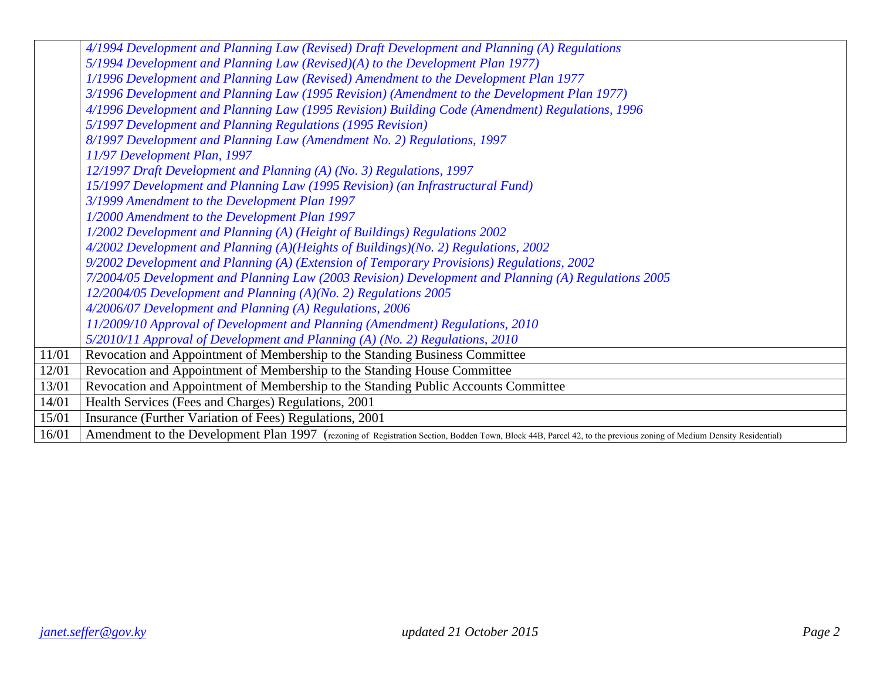|       | 4/1994 Development and Planning Law (Revised) Draft Development and Planning (A) Regulations                                                                       |
|-------|--------------------------------------------------------------------------------------------------------------------------------------------------------------------|
|       | 5/1994 Development and Planning Law (Revised)(A) to the Development Plan 1977)                                                                                     |
|       | 1/1996 Development and Planning Law (Revised) Amendment to the Development Plan 1977                                                                               |
|       | 3/1996 Development and Planning Law (1995 Revision) (Amendment to the Development Plan 1977)                                                                       |
|       | 4/1996 Development and Planning Law (1995 Revision) Building Code (Amendment) Regulations, 1996                                                                    |
|       | 5/1997 Development and Planning Regulations (1995 Revision)                                                                                                        |
|       | 8/1997 Development and Planning Law (Amendment No. 2) Regulations, 1997                                                                                            |
|       | 11/97 Development Plan, 1997                                                                                                                                       |
|       | 12/1997 Draft Development and Planning (A) (No. 3) Regulations, 1997                                                                                               |
|       | 15/1997 Development and Planning Law (1995 Revision) (an Infrastructural Fund)                                                                                     |
|       | 3/1999 Amendment to the Development Plan 1997                                                                                                                      |
|       | 1/2000 Amendment to the Development Plan 1997                                                                                                                      |
|       | 1/2002 Development and Planning (A) (Height of Buildings) Regulations 2002                                                                                         |
|       | 4/2002 Development and Planning (A)(Heights of Buildings)(No. 2) Regulations, 2002                                                                                 |
|       | 9/2002 Development and Planning (A) (Extension of Temporary Provisions) Regulations, 2002                                                                          |
|       | 7/2004/05 Development and Planning Law (2003 Revision) Development and Planning (A) Regulations 2005                                                               |
|       | 12/2004/05 Development and Planning (A)(No. 2) Regulations 2005                                                                                                    |
|       | 4/2006/07 Development and Planning (A) Regulations, 2006                                                                                                           |
|       | 11/2009/10 Approval of Development and Planning (Amendment) Regulations, 2010                                                                                      |
|       | 5/2010/11 Approval of Development and Planning (A) (No. 2) Regulations, 2010                                                                                       |
| 11/01 | Revocation and Appointment of Membership to the Standing Business Committee                                                                                        |
| 12/01 | Revocation and Appointment of Membership to the Standing House Committee                                                                                           |
| 13/01 | Revocation and Appointment of Membership to the Standing Public Accounts Committee                                                                                 |
| 14/01 | Health Services (Fees and Charges) Regulations, 2001                                                                                                               |
| 15/01 | Insurance (Further Variation of Fees) Regulations, 2001                                                                                                            |
| 16/01 | Amendment to the Development Plan 1997 (rezoning of Registration Section, Bodden Town, Block 44B, Parcel 42, to the previous zoning of Medium Density Residential) |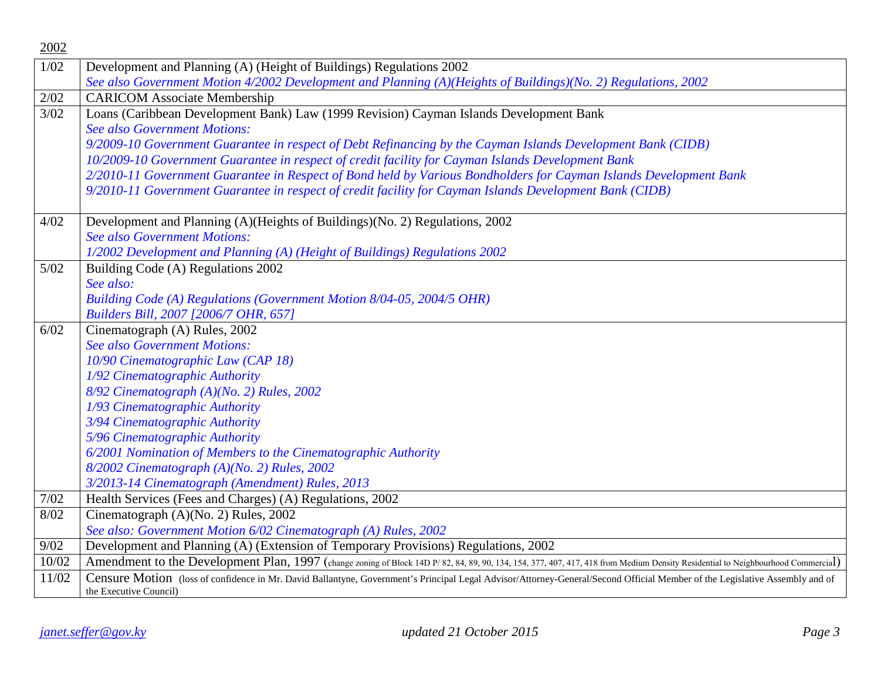| 2002   |                                                                                                                                                                                                       |
|--------|-------------------------------------------------------------------------------------------------------------------------------------------------------------------------------------------------------|
| 1/02   | Development and Planning (A) (Height of Buildings) Regulations 2002                                                                                                                                   |
|        | See also Government Motion 4/2002 Development and Planning (A)(Heights of Buildings)(No. 2) Regulations, 2002                                                                                         |
| 2/02   | <b>CARICOM Associate Membership</b>                                                                                                                                                                   |
| 3/02   | Loans (Caribbean Development Bank) Law (1999 Revision) Cayman Islands Development Bank                                                                                                                |
|        | <b>See also Government Motions:</b>                                                                                                                                                                   |
|        | 9/2009-10 Government Guarantee in respect of Debt Refinancing by the Cayman Islands Development Bank (CIDB)                                                                                           |
|        | 10/2009-10 Government Guarantee in respect of credit facility for Cayman Islands Development Bank                                                                                                     |
|        | 2/2010-11 Government Guarantee in Respect of Bond held by Various Bondholders for Cayman Islands Development Bank                                                                                     |
|        | 9/2010-11 Government Guarantee in respect of credit facility for Cayman Islands Development Bank (CIDB)                                                                                               |
| 4/02   | Development and Planning (A)(Heights of Buildings)(No. 2) Regulations, 2002                                                                                                                           |
|        | <b>See also Government Motions:</b>                                                                                                                                                                   |
|        | 1/2002 Development and Planning (A) (Height of Buildings) Regulations 2002                                                                                                                            |
| $5/02$ | Building Code (A) Regulations 2002                                                                                                                                                                    |
|        | See also:                                                                                                                                                                                             |
|        | Building Code (A) Regulations (Government Motion 8/04-05, 2004/5 OHR)                                                                                                                                 |
|        | Builders Bill, 2007 [2006/7 OHR, 657]                                                                                                                                                                 |
| 6/02   | Cinematograph (A) Rules, 2002                                                                                                                                                                         |
|        | <b>See also Government Motions:</b>                                                                                                                                                                   |
|        | 10/90 Cinematographic Law (CAP 18)                                                                                                                                                                    |
|        | 1/92 Cinematographic Authority                                                                                                                                                                        |
|        | 8/92 Cinematograph (A)(No. 2) Rules, 2002                                                                                                                                                             |
|        | 1/93 Cinematographic Authority                                                                                                                                                                        |
|        | 3/94 Cinematographic Authority                                                                                                                                                                        |
|        | 5/96 Cinematographic Authority                                                                                                                                                                        |
|        | 6/2001 Nomination of Members to the Cinematographic Authority                                                                                                                                         |
|        | 8/2002 Cinematograph (A)(No. 2) Rules, 2002                                                                                                                                                           |
|        | 3/2013-14 Cinematograph (Amendment) Rules, 2013                                                                                                                                                       |
| 7/02   | Health Services (Fees and Charges) (A) Regulations, 2002                                                                                                                                              |
| 8/02   | Cinematograph (A)(No. 2) Rules, 2002                                                                                                                                                                  |
|        | See also: Government Motion 6/02 Cinematograph (A) Rules, 2002                                                                                                                                        |
| 9/02   | Development and Planning (A) (Extension of Temporary Provisions) Regulations, 2002                                                                                                                    |
| 10/02  | Amendment to the Development Plan, 1997 (change zoning of Block 14D P/82, 84, 89, 90, 134, 154, 377, 407, 417, 418 from Medium Density Residential to Neighbourhood Commercial)                       |
| 11/02  | Censure Motion (loss of confidence in Mr. David Ballantyne, Government's Principal Legal Advisor/Attorney-General/Second Official Member of the Legislative Assembly and of<br>the Executive Council) |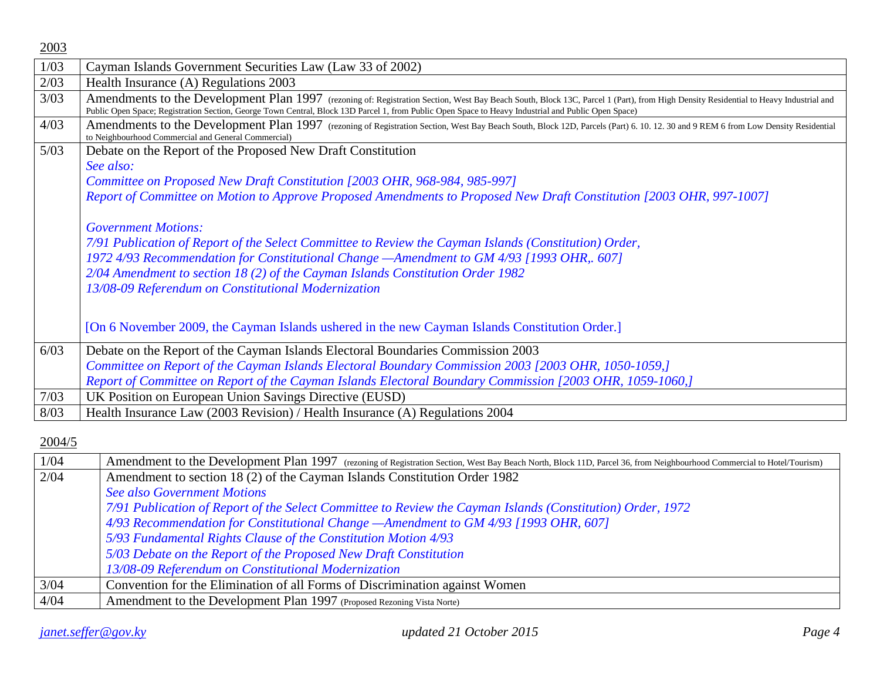| 2003 |                                                                                                                                                                                                                                                                                                                                                                                                                                                                             |
|------|-----------------------------------------------------------------------------------------------------------------------------------------------------------------------------------------------------------------------------------------------------------------------------------------------------------------------------------------------------------------------------------------------------------------------------------------------------------------------------|
| 1/03 | Cayman Islands Government Securities Law (Law 33 of 2002)                                                                                                                                                                                                                                                                                                                                                                                                                   |
| 2/03 | Health Insurance (A) Regulations 2003                                                                                                                                                                                                                                                                                                                                                                                                                                       |
| 3/03 | Amendments to the Development Plan 1997 (rezoning of: Registration Section, West Bay Beach South, Block 13C, Parcel 1 (Part), from High Density Residential to Heavy Industrial and<br>Public Open Space; Registration Section, George Town Central, Block 13D Parcel 1, from Public Open Space to Heavy Industrial and Public Open Space)                                                                                                                                  |
| 4/03 | Amendments to the Development Plan 1997 (rezoning of Registration Section, West Bay Beach South, Block 12D, Parcels (Part) 6. 10. 12. 30 and 9 REM 6 from Low Density Residential<br>to Neighbourhood Commercial and General Commercial)                                                                                                                                                                                                                                    |
| 5/03 | Debate on the Report of the Proposed New Draft Constitution                                                                                                                                                                                                                                                                                                                                                                                                                 |
|      | See also:                                                                                                                                                                                                                                                                                                                                                                                                                                                                   |
|      | Committee on Proposed New Draft Constitution [2003 OHR, 968-984, 985-997]                                                                                                                                                                                                                                                                                                                                                                                                   |
|      | Report of Committee on Motion to Approve Proposed Amendments to Proposed New Draft Constitution [2003 OHR, 997-1007]                                                                                                                                                                                                                                                                                                                                                        |
|      | <b>Government Motions:</b><br>7/91 Publication of Report of the Select Committee to Review the Cayman Islands (Constitution) Order,<br>1972 4/93 Recommendation for Constitutional Change - Amendment to GM 4/93 [1993 OHR, 607]<br>2/04 Amendment to section 18 (2) of the Cayman Islands Constitution Order 1982<br>13/08-09 Referendum on Constitutional Modernization<br>[On 6 November 2009, the Cayman Islands ushered in the new Cayman Islands Constitution Order.] |
| 6/03 | Debate on the Report of the Cayman Islands Electoral Boundaries Commission 2003                                                                                                                                                                                                                                                                                                                                                                                             |
|      | Committee on Report of the Cayman Islands Electoral Boundary Commission 2003 [2003 OHR, 1050-1059,]                                                                                                                                                                                                                                                                                                                                                                         |
|      | Report of Committee on Report of the Cayman Islands Electoral Boundary Commission [2003 OHR, 1059-1060,]                                                                                                                                                                                                                                                                                                                                                                    |
| 7/03 | UK Position on European Union Savings Directive (EUSD)                                                                                                                                                                                                                                                                                                                                                                                                                      |
| 8/03 | Health Insurance Law (2003 Revision) / Health Insurance (A) Regulations 2004                                                                                                                                                                                                                                                                                                                                                                                                |

| 1/04 | Amendment to the Development Plan 1997 (rezoning of Registration Section, West Bay Beach North, Block 11D, Parcel 36, from Neighbourhood Commercial to Hotel/Tourism) |
|------|-----------------------------------------------------------------------------------------------------------------------------------------------------------------------|
| 2/04 | Amendment to section 18 (2) of the Cayman Islands Constitution Order 1982                                                                                             |
|      | <b>See also Government Motions</b>                                                                                                                                    |
|      | 7/91 Publication of Report of the Select Committee to Review the Cayman Islands (Constitution) Order, 1972                                                            |
|      | 4/93 Recommendation for Constitutional Change - Amendment to GM 4/93 [1993 OHR, 607]                                                                                  |
|      | 5/93 Fundamental Rights Clause of the Constitution Motion 4/93                                                                                                        |
|      | 5/03 Debate on the Report of the Proposed New Draft Constitution                                                                                                      |
|      | 13/08-09 Referendum on Constitutional Modernization                                                                                                                   |
| 3/04 | Convention for the Elimination of all Forms of Discrimination against Women                                                                                           |
| 4/04 | Amendment to the Development Plan 1997 (Proposed Rezoning Vista Norte)                                                                                                |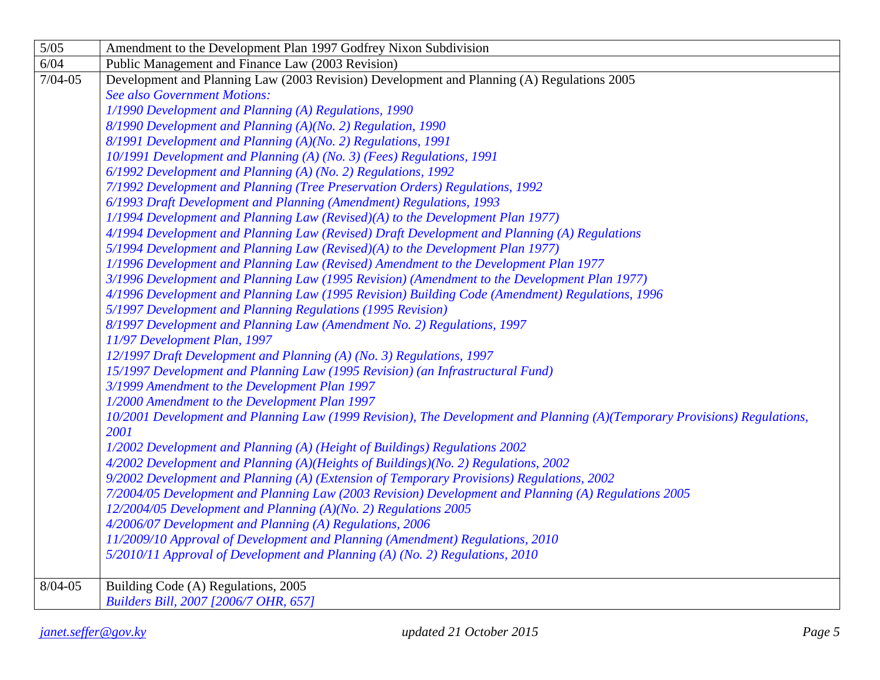| $5/05$      | Amendment to the Development Plan 1997 Godfrey Nixon Subdivision                                                                  |
|-------------|-----------------------------------------------------------------------------------------------------------------------------------|
| 6/04        | Public Management and Finance Law (2003 Revision)                                                                                 |
| $7/04 - 05$ | Development and Planning Law (2003 Revision) Development and Planning (A) Regulations 2005                                        |
|             | <b>See also Government Motions:</b>                                                                                               |
|             | 1/1990 Development and Planning (A) Regulations, 1990                                                                             |
|             | 8/1990 Development and Planning (A)(No. 2) Regulation, 1990                                                                       |
|             | 8/1991 Development and Planning (A)(No. 2) Regulations, 1991                                                                      |
|             | 10/1991 Development and Planning (A) (No. 3) (Fees) Regulations, 1991                                                             |
|             | 6/1992 Development and Planning (A) (No. 2) Regulations, 1992                                                                     |
|             | 7/1992 Development and Planning (Tree Preservation Orders) Regulations, 1992                                                      |
|             | 6/1993 Draft Development and Planning (Amendment) Regulations, 1993                                                               |
|             | 1/1994 Development and Planning Law (Revised)(A) to the Development Plan 1977)                                                    |
|             | 4/1994 Development and Planning Law (Revised) Draft Development and Planning (A) Regulations                                      |
|             | 5/1994 Development and Planning Law (Revised)(A) to the Development Plan 1977)                                                    |
|             | 1/1996 Development and Planning Law (Revised) Amendment to the Development Plan 1977                                              |
|             | 3/1996 Development and Planning Law (1995 Revision) (Amendment to the Development Plan 1977)                                      |
|             | 4/1996 Development and Planning Law (1995 Revision) Building Code (Amendment) Regulations, 1996                                   |
|             | 5/1997 Development and Planning Regulations (1995 Revision)                                                                       |
|             | 8/1997 Development and Planning Law (Amendment No. 2) Regulations, 1997                                                           |
|             | 11/97 Development Plan, 1997                                                                                                      |
|             | 12/1997 Draft Development and Planning (A) (No. 3) Regulations, 1997                                                              |
|             | 15/1997 Development and Planning Law (1995 Revision) (an Infrastructural Fund)                                                    |
|             | 3/1999 Amendment to the Development Plan 1997                                                                                     |
|             | 1/2000 Amendment to the Development Plan 1997                                                                                     |
|             | 10/2001 Development and Planning Law (1999 Revision), The Development and Planning (A)(Temporary Provisions) Regulations,<br>2001 |
|             | 1/2002 Development and Planning (A) (Height of Buildings) Regulations 2002                                                        |
|             | 4/2002 Development and Planning (A)(Heights of Buildings)(No. 2) Regulations, 2002                                                |
|             | 9/2002 Development and Planning (A) (Extension of Temporary Provisions) Regulations, 2002                                         |
|             | 7/2004/05 Development and Planning Law (2003 Revision) Development and Planning (A) Regulations 2005                              |
|             | 12/2004/05 Development and Planning (A)(No. 2) Regulations 2005                                                                   |
|             | 4/2006/07 Development and Planning (A) Regulations, 2006                                                                          |
|             | 11/2009/10 Approval of Development and Planning (Amendment) Regulations, 2010                                                     |
|             | 5/2010/11 Approval of Development and Planning (A) (No. 2) Regulations, 2010                                                      |
|             |                                                                                                                                   |
| $8/04 - 05$ | Building Code (A) Regulations, 2005                                                                                               |
|             | Builders Bill, 2007 [2006/7 OHR, 657]                                                                                             |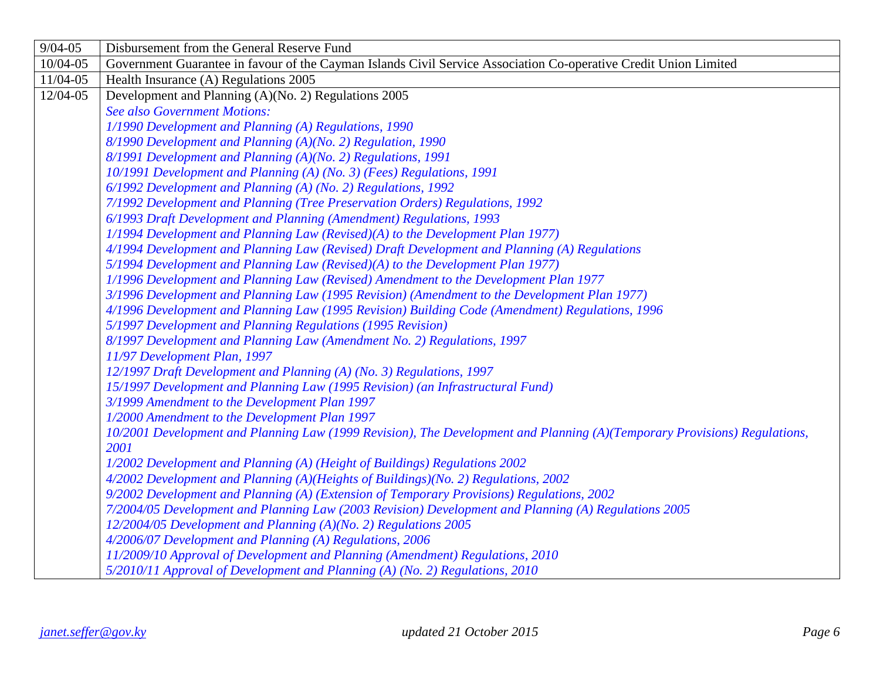| $9/04 - 05$  | Disbursement from the General Reserve Fund                                                                                |
|--------------|---------------------------------------------------------------------------------------------------------------------------|
| 10/04-05     | Government Guarantee in favour of the Cayman Islands Civil Service Association Co-operative Credit Union Limited          |
| $11/04 - 05$ | Health Insurance (A) Regulations 2005                                                                                     |
| 12/04-05     | Development and Planning (A)(No. 2) Regulations 2005                                                                      |
|              | <b>See also Government Motions:</b>                                                                                       |
|              | 1/1990 Development and Planning (A) Regulations, 1990                                                                     |
|              | 8/1990 Development and Planning (A)(No. 2) Regulation, 1990                                                               |
|              | 8/1991 Development and Planning (A)(No. 2) Regulations, 1991                                                              |
|              | 10/1991 Development and Planning (A) (No. 3) (Fees) Regulations, 1991                                                     |
|              | 6/1992 Development and Planning (A) (No. 2) Regulations, 1992                                                             |
|              | 7/1992 Development and Planning (Tree Preservation Orders) Regulations, 1992                                              |
|              | 6/1993 Draft Development and Planning (Amendment) Regulations, 1993                                                       |
|              | $1/1994$ Development and Planning Law (Revised)(A) to the Development Plan 1977)                                          |
|              | 4/1994 Development and Planning Law (Revised) Draft Development and Planning (A) Regulations                              |
|              | 5/1994 Development and Planning Law (Revised)(A) to the Development Plan 1977)                                            |
|              | 1/1996 Development and Planning Law (Revised) Amendment to the Development Plan 1977                                      |
|              | 3/1996 Development and Planning Law (1995 Revision) (Amendment to the Development Plan 1977)                              |
|              | 4/1996 Development and Planning Law (1995 Revision) Building Code (Amendment) Regulations, 1996                           |
|              | 5/1997 Development and Planning Regulations (1995 Revision)                                                               |
|              | 8/1997 Development and Planning Law (Amendment No. 2) Regulations, 1997                                                   |
|              | 11/97 Development Plan, 1997                                                                                              |
|              | 12/1997 Draft Development and Planning (A) (No. 3) Regulations, 1997                                                      |
|              | 15/1997 Development and Planning Law (1995 Revision) (an Infrastructural Fund)                                            |
|              | 3/1999 Amendment to the Development Plan 1997                                                                             |
|              | 1/2000 Amendment to the Development Plan 1997                                                                             |
|              | 10/2001 Development and Planning Law (1999 Revision), The Development and Planning (A)(Temporary Provisions) Regulations, |
|              | 2001                                                                                                                      |
|              | 1/2002 Development and Planning (A) (Height of Buildings) Regulations 2002                                                |
|              | 4/2002 Development and Planning (A)(Heights of Buildings)(No. 2) Regulations, 2002                                        |
|              | 9/2002 Development and Planning (A) (Extension of Temporary Provisions) Regulations, 2002                                 |
|              | 7/2004/05 Development and Planning Law (2003 Revision) Development and Planning (A) Regulations 2005                      |
|              | 12/2004/05 Development and Planning (A)(No. 2) Regulations 2005                                                           |
|              | 4/2006/07 Development and Planning (A) Regulations, 2006                                                                  |
|              | 11/2009/10 Approval of Development and Planning (Amendment) Regulations, 2010                                             |
|              | 5/2010/11 Approval of Development and Planning (A) (No. 2) Regulations, 2010                                              |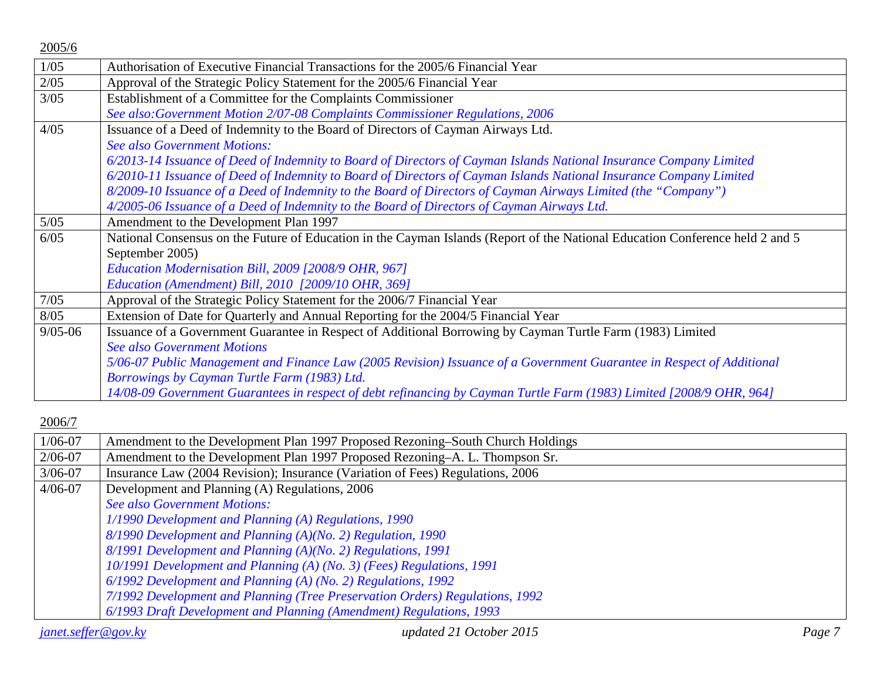| 2005/6      |                                                                                                                               |
|-------------|-------------------------------------------------------------------------------------------------------------------------------|
| 1/05        | Authorisation of Executive Financial Transactions for the 2005/6 Financial Year                                               |
| 2/05        | Approval of the Strategic Policy Statement for the 2005/6 Financial Year                                                      |
| $3/05$      | Establishment of a Committee for the Complaints Commissioner                                                                  |
|             | See also: Government Motion 2/07-08 Complaints Commissioner Regulations, 2006                                                 |
| 4/05        | Issuance of a Deed of Indemnity to the Board of Directors of Cayman Airways Ltd.                                              |
|             | <b>See also Government Motions:</b>                                                                                           |
|             | 6/2013-14 Issuance of Deed of Indemnity to Board of Directors of Cayman Islands National Insurance Company Limited            |
|             | 6/2010-11 Issuance of Deed of Indemnity to Board of Directors of Cayman Islands National Insurance Company Limited            |
|             | 8/2009-10 Issuance of a Deed of Indemnity to the Board of Directors of Cayman Airways Limited (the "Company")                 |
|             | 4/2005-06 Issuance of a Deed of Indemnity to the Board of Directors of Cayman Airways Ltd.                                    |
| $5/05$      | Amendment to the Development Plan 1997                                                                                        |
| 6/05        | National Consensus on the Future of Education in the Cayman Islands (Report of the National Education Conference held 2 and 5 |
|             | September 2005)                                                                                                               |
|             | Education Modernisation Bill, 2009 [2008/9 OHR, 967]                                                                          |
|             | Education (Amendment) Bill, 2010 [2009/10 OHR, 369]                                                                           |
| 7/05        | Approval of the Strategic Policy Statement for the 2006/7 Financial Year                                                      |
| 8/05        | Extension of Date for Quarterly and Annual Reporting for the 2004/5 Financial Year                                            |
| $9/05 - 06$ | Issuance of a Government Guarantee in Respect of Additional Borrowing by Cayman Turtle Farm (1983) Limited                    |
|             | <b>See also Government Motions</b>                                                                                            |
|             | 5/06-07 Public Management and Finance Law (2005 Revision) Issuance of a Government Guarantee in Respect of Additional         |
|             | Borrowings by Cayman Turtle Farm (1983) Ltd.                                                                                  |
|             | 14/08-09 Government Guarantees in respect of debt refinancing by Cayman Turtle Farm (1983) Limited [2008/9 OHR, 964]          |

| $1/06 - 07$                | Amendment to the Development Plan 1997 Proposed Rezoning–South Church Holdings |        |
|----------------------------|--------------------------------------------------------------------------------|--------|
| $2/06 - 07$                | Amendment to the Development Plan 1997 Proposed Rezoning–A. L. Thompson Sr.    |        |
| $3/06 - 07$                | Insurance Law (2004 Revision); Insurance (Variation of Fees) Regulations, 2006 |        |
| $4/06 - 07$                | Development and Planning (A) Regulations, 2006                                 |        |
|                            | <b>See also Government Motions:</b>                                            |        |
|                            | 1/1990 Development and Planning (A) Regulations, 1990                          |        |
|                            | 8/1990 Development and Planning (A)(No. 2) Regulation, 1990                    |        |
|                            | 8/1991 Development and Planning (A)(No. 2) Regulations, 1991                   |        |
|                            | 10/1991 Development and Planning (A) (No. 3) (Fees) Regulations, 1991          |        |
|                            | 6/1992 Development and Planning (A) (No. 2) Regulations, 1992                  |        |
|                            | 7/1992 Development and Planning (Tree Preservation Orders) Regulations, 1992   |        |
|                            | 6/1993 Draft Development and Planning (Amendment) Regulations, 1993            |        |
| <i>janet.seffer@gov.ky</i> | updated 21 October 2015                                                        | Page 7 |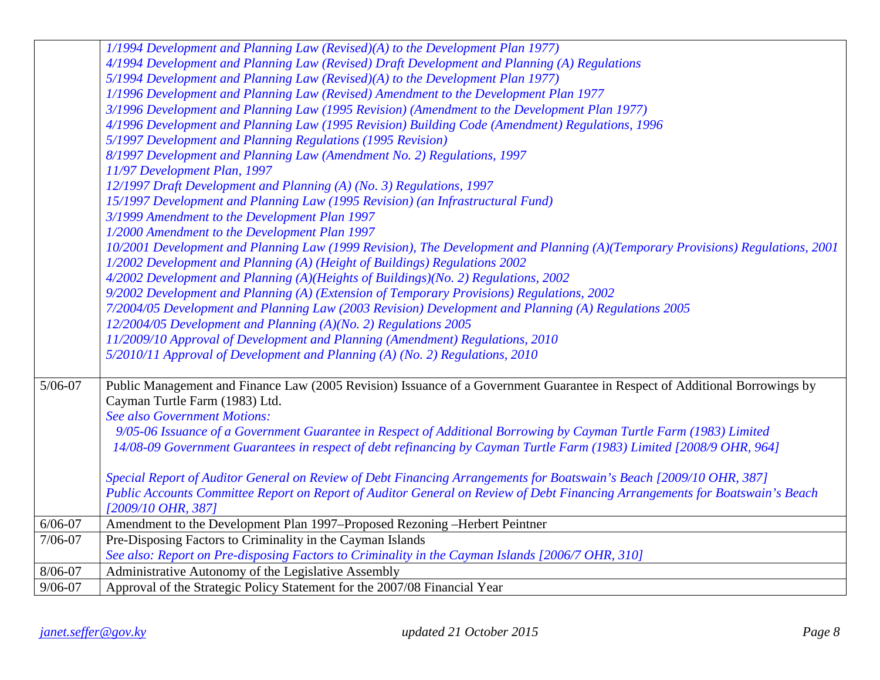|             | 1/1994 Development and Planning Law (Revised)(A) to the Development Plan 1977)                                                 |
|-------------|--------------------------------------------------------------------------------------------------------------------------------|
|             | 4/1994 Development and Planning Law (Revised) Draft Development and Planning (A) Regulations                                   |
|             | 5/1994 Development and Planning Law (Revised)(A) to the Development Plan 1977)                                                 |
|             | 1/1996 Development and Planning Law (Revised) Amendment to the Development Plan 1977                                           |
|             | 3/1996 Development and Planning Law (1995 Revision) (Amendment to the Development Plan 1977)                                   |
|             | 4/1996 Development and Planning Law (1995 Revision) Building Code (Amendment) Regulations, 1996                                |
|             | 5/1997 Development and Planning Regulations (1995 Revision)                                                                    |
|             | 8/1997 Development and Planning Law (Amendment No. 2) Regulations, 1997                                                        |
|             | 11/97 Development Plan, 1997                                                                                                   |
|             | 12/1997 Draft Development and Planning (A) (No. 3) Regulations, 1997                                                           |
|             | 15/1997 Development and Planning Law (1995 Revision) (an Infrastructural Fund)                                                 |
|             | 3/1999 Amendment to the Development Plan 1997                                                                                  |
|             | 1/2000 Amendment to the Development Plan 1997                                                                                  |
|             | 10/2001 Development and Planning Law (1999 Revision), The Development and Planning (A)(Temporary Provisions) Regulations, 2001 |
|             | 1/2002 Development and Planning (A) (Height of Buildings) Regulations 2002                                                     |
|             | 4/2002 Development and Planning (A)(Heights of Buildings)(No. 2) Regulations, 2002                                             |
|             | 9/2002 Development and Planning (A) (Extension of Temporary Provisions) Regulations, 2002                                      |
|             | 7/2004/05 Development and Planning Law (2003 Revision) Development and Planning (A) Regulations 2005                           |
|             | 12/2004/05 Development and Planning (A)(No. 2) Regulations 2005                                                                |
|             | 11/2009/10 Approval of Development and Planning (Amendment) Regulations, 2010                                                  |
|             | 5/2010/11 Approval of Development and Planning (A) (No. 2) Regulations, 2010                                                   |
| $5/06 - 07$ | Public Management and Finance Law (2005 Revision) Issuance of a Government Guarantee in Respect of Additional Borrowings by    |
|             | Cayman Turtle Farm (1983) Ltd.                                                                                                 |
|             | <b>See also Government Motions:</b>                                                                                            |
|             | 9/05-06 Issuance of a Government Guarantee in Respect of Additional Borrowing by Cayman Turtle Farm (1983) Limited             |
|             | 14/08-09 Government Guarantees in respect of debt refinancing by Cayman Turtle Farm (1983) Limited [2008/9 OHR, 964]           |
|             | Special Report of Auditor General on Review of Debt Financing Arrangements for Boatswain's Beach [2009/10 OHR, 387]            |
|             | Public Accounts Committee Report on Report of Auditor General on Review of Debt Financing Arrangements for Boatswain's Beach   |
|             | [2009/10 OHR, 387]                                                                                                             |
| $6/06 - 07$ | Amendment to the Development Plan 1997–Proposed Rezoning -Herbert Peintner                                                     |
| $7/06 - 07$ | Pre-Disposing Factors to Criminality in the Cayman Islands                                                                     |
|             | See also: Report on Pre-disposing Factors to Criminality in the Cayman Islands [2006/7 OHR, 310]                               |
| 8/06-07     | Administrative Autonomy of the Legislative Assembly                                                                            |
| $9/06 - 07$ | Approval of the Strategic Policy Statement for the 2007/08 Financial Year                                                      |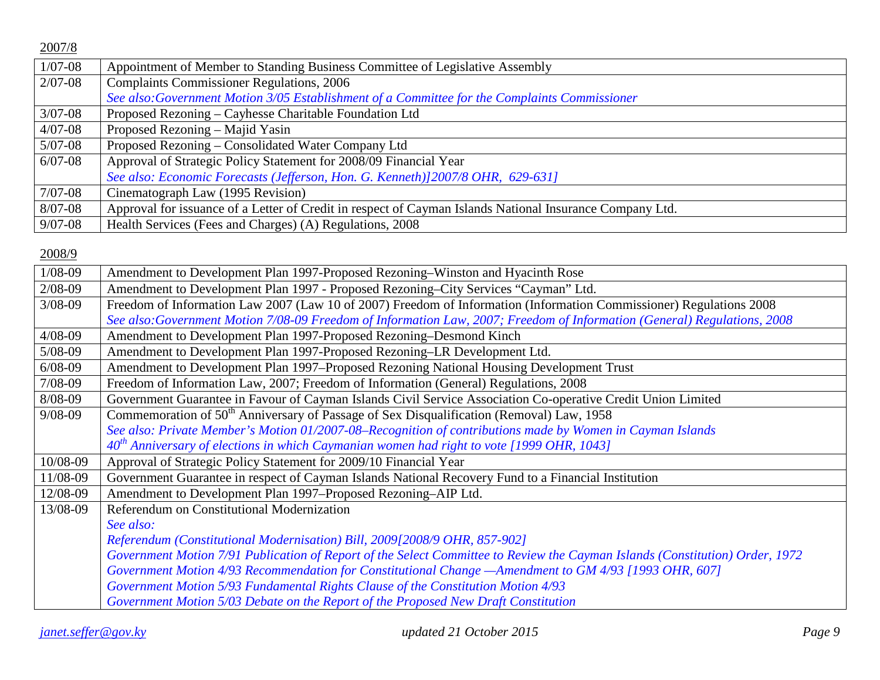| $1/07 - 08$ | Appointment of Member to Standing Business Committee of Legislative Assembly                             |
|-------------|----------------------------------------------------------------------------------------------------------|
| $2/07 - 08$ | <b>Complaints Commissioner Regulations, 2006</b>                                                         |
|             | See also: Government Motion 3/05 Establishment of a Committee for the Complaints Commissioner            |
| $3/07 - 08$ | Proposed Rezoning - Cayhesse Charitable Foundation Ltd                                                   |
| $4/07 - 08$ | Proposed Rezoning – Majid Yasin                                                                          |
| $5/07 - 08$ | Proposed Rezoning – Consolidated Water Company Ltd                                                       |
| $6/07 - 08$ | Approval of Strategic Policy Statement for 2008/09 Financial Year                                        |
|             | See also: Economic Forecasts (Jefferson, Hon. G. Kenneth)]2007/8 OHR, 629-631]                           |
| $7/07 - 08$ | Cinematograph Law (1995 Revision)                                                                        |
| $8/07 - 08$ | Approval for issuance of a Letter of Credit in respect of Cayman Islands National Insurance Company Ltd. |
| $9/07 - 08$ | Health Services (Fees and Charges) (A) Regulations, 2008                                                 |

| $1/08-09$   | Amendment to Development Plan 1997-Proposed Rezoning–Winston and Hyacinth Rose                                               |
|-------------|------------------------------------------------------------------------------------------------------------------------------|
| $2/08 - 09$ | Amendment to Development Plan 1997 - Proposed Rezoning–City Services "Cayman" Ltd.                                           |
| $3/08 - 09$ | Freedom of Information Law 2007 (Law 10 of 2007) Freedom of Information (Information Commissioner) Regulations 2008          |
|             | See also:Government Motion 7/08-09 Freedom of Information Law, 2007; Freedom of Information (General) Regulations, 2008      |
| $4/08 - 09$ | Amendment to Development Plan 1997-Proposed Rezoning-Desmond Kinch                                                           |
| 5/08-09     | Amendment to Development Plan 1997-Proposed Rezoning-LR Development Ltd.                                                     |
| $6/08 - 09$ | Amendment to Development Plan 1997–Proposed Rezoning National Housing Development Trust                                      |
| 7/08-09     | Freedom of Information Law, 2007; Freedom of Information (General) Regulations, 2008                                         |
| 8/08-09     | Government Guarantee in Favour of Cayman Islands Civil Service Association Co-operative Credit Union Limited                 |
| $9/08 - 09$ | Commemoration of 50 <sup>th</sup> Anniversary of Passage of Sex Disqualification (Removal) Law, 1958                         |
|             | See also: Private Member's Motion 01/2007-08-Recognition of contributions made by Women in Cayman Islands                    |
|             | 40 <sup>th</sup> Anniversary of elections in which Caymanian women had right to vote [1999 OHR, 1043]                        |
| 10/08-09    | Approval of Strategic Policy Statement for 2009/10 Financial Year                                                            |
| 11/08-09    | Government Guarantee in respect of Cayman Islands National Recovery Fund to a Financial Institution                          |
| 12/08-09    | Amendment to Development Plan 1997–Proposed Rezoning–AIP Ltd.                                                                |
| 13/08-09    | Referendum on Constitutional Modernization                                                                                   |
|             | See also:                                                                                                                    |
|             | Referendum (Constitutional Modernisation) Bill, 2009[2008/9 OHR, 857-902]                                                    |
|             | Government Motion 7/91 Publication of Report of the Select Committee to Review the Cayman Islands (Constitution) Order, 1972 |
|             | Government Motion 4/93 Recommendation for Constitutional Change - Amendment to GM 4/93 [1993 OHR, 607]                       |
|             | Government Motion 5/93 Fundamental Rights Clause of the Constitution Motion 4/93                                             |
|             | Government Motion 5/03 Debate on the Report of the Proposed New Draft Constitution                                           |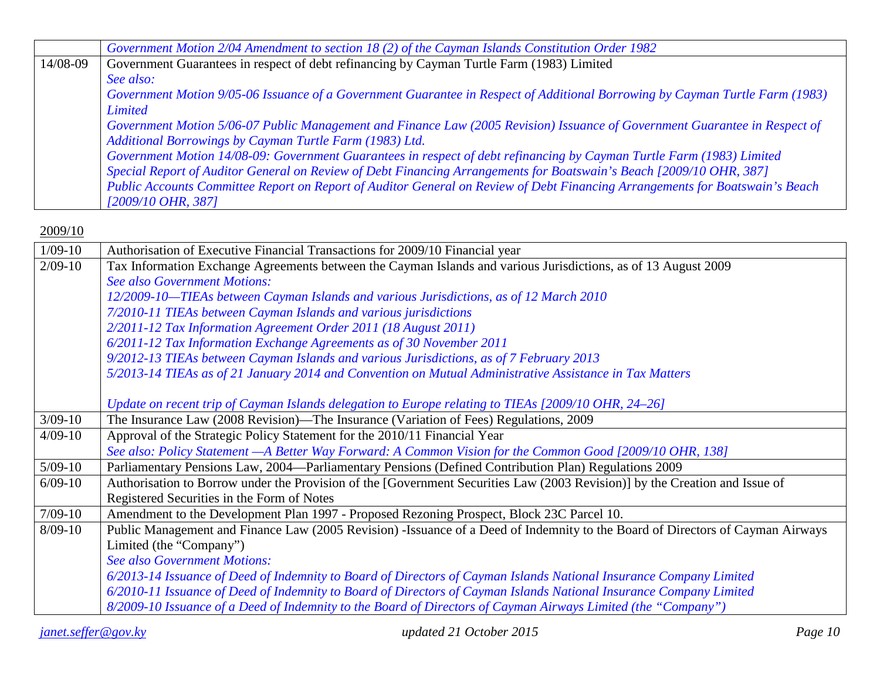|          | Government Motion 2/04 Amendment to section 18 (2) of the Cayman Islands Constitution Order 1982                             |
|----------|------------------------------------------------------------------------------------------------------------------------------|
| 14/08-09 | Government Guarantees in respect of debt refinancing by Cayman Turtle Farm (1983) Limited                                    |
|          | See also:                                                                                                                    |
|          | Government Motion 9/05-06 Issuance of a Government Guarantee in Respect of Additional Borrowing by Cayman Turtle Farm (1983) |
|          | <b>Limited</b>                                                                                                               |
|          | Government Motion 5/06-07 Public Management and Finance Law (2005 Revision) Issuance of Government Guarantee in Respect of   |
|          | Additional Borrowings by Cayman Turtle Farm (1983) Ltd.                                                                      |
|          | Government Motion 14/08-09: Government Guarantees in respect of debt refinancing by Cayman Turtle Farm (1983) Limited        |
|          | Special Report of Auditor General on Review of Debt Financing Arrangements for Boatswain's Beach [2009/10 OHR, 387]          |
|          | Public Accounts Committee Report on Report of Auditor General on Review of Debt Financing Arrangements for Boatswain's Beach |
|          | $[2009/10 \text{ } OHR, 387]$                                                                                                |

| $1/09-10$   | Authorisation of Executive Financial Transactions for 2009/10 Financial year                                                   |
|-------------|--------------------------------------------------------------------------------------------------------------------------------|
| $2/09-10$   | Tax Information Exchange Agreements between the Cayman Islands and various Jurisdictions, as of 13 August 2009                 |
|             | <b>See also Government Motions:</b>                                                                                            |
|             | 12/2009-10-TIEAs between Cayman Islands and various Jurisdictions, as of 12 March 2010                                         |
|             | 7/2010-11 TIEAs between Cayman Islands and various jurisdictions                                                               |
|             | 2/2011-12 Tax Information Agreement Order 2011 (18 August 2011)                                                                |
|             | 6/2011-12 Tax Information Exchange Agreements as of 30 November 2011                                                           |
|             | 9/2012-13 TIEAs between Cayman Islands and various Jurisdictions, as of 7 February 2013                                        |
|             | 5/2013-14 TIEAs as of 21 January 2014 and Convention on Mutual Administrative Assistance in Tax Matters                        |
|             |                                                                                                                                |
|             | Update on recent trip of Cayman Islands delegation to Europe relating to TIEAs [2009/10 OHR, 24–26]                            |
| $3/09 - 10$ | The Insurance Law (2008 Revision)—The Insurance (Variation of Fees) Regulations, 2009                                          |
| $4/09-10$   | Approval of the Strategic Policy Statement for the 2010/11 Financial Year                                                      |
|             | See also: Policy Statement - A Better Way Forward: A Common Vision for the Common Good [2009/10 OHR, 138]                      |
| $5/09-10$   | Parliamentary Pensions Law, 2004—Parliamentary Pensions (Defined Contribution Plan) Regulations 2009                           |
| $6/09-10$   | Authorisation to Borrow under the Provision of the [Government Securities Law (2003 Revision)] by the Creation and Issue of    |
|             | Registered Securities in the Form of Notes                                                                                     |
| $7/09-10$   | Amendment to the Development Plan 1997 - Proposed Rezoning Prospect, Block 23C Parcel 10.                                      |
| $8/09-10$   | Public Management and Finance Law (2005 Revision) -Issuance of a Deed of Indemnity to the Board of Directors of Cayman Airways |
|             | Limited (the "Company")                                                                                                        |
|             | <b>See also Government Motions:</b>                                                                                            |
|             | 6/2013-14 Issuance of Deed of Indemnity to Board of Directors of Cayman Islands National Insurance Company Limited             |
|             | 6/2010-11 Issuance of Deed of Indemnity to Board of Directors of Cayman Islands National Insurance Company Limited             |
|             | 8/2009-10 Issuance of a Deed of Indemnity to the Board of Directors of Cayman Airways Limited (the "Company")                  |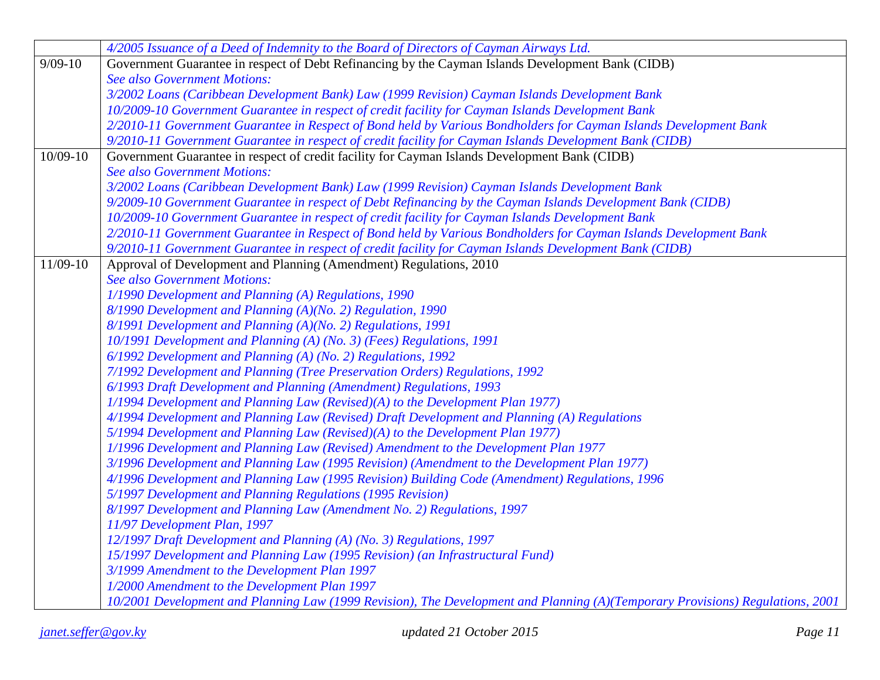|            | 4/2005 Issuance of a Deed of Indemnity to the Board of Directors of Cayman Airways Ltd.                                        |
|------------|--------------------------------------------------------------------------------------------------------------------------------|
| $9/09-10$  | Government Guarantee in respect of Debt Refinancing by the Cayman Islands Development Bank (CIDB)                              |
|            | <b>See also Government Motions:</b>                                                                                            |
|            | 3/2002 Loans (Caribbean Development Bank) Law (1999 Revision) Cayman Islands Development Bank                                  |
|            | 10/2009-10 Government Guarantee in respect of credit facility for Cayman Islands Development Bank                              |
|            | 2/2010-11 Government Guarantee in Respect of Bond held by Various Bondholders for Cayman Islands Development Bank              |
|            | 9/2010-11 Government Guarantee in respect of credit facility for Cayman Islands Development Bank (CIDB)                        |
| $10/09-10$ | Government Guarantee in respect of credit facility for Cayman Islands Development Bank (CIDB)                                  |
|            | <b>See also Government Motions:</b>                                                                                            |
|            | 3/2002 Loans (Caribbean Development Bank) Law (1999 Revision) Cayman Islands Development Bank                                  |
|            | 9/2009-10 Government Guarantee in respect of Debt Refinancing by the Cayman Islands Development Bank (CIDB)                    |
|            | 10/2009-10 Government Guarantee in respect of credit facility for Cayman Islands Development Bank                              |
|            | 2/2010-11 Government Guarantee in Respect of Bond held by Various Bondholders for Cayman Islands Development Bank              |
|            | 9/2010-11 Government Guarantee in respect of credit facility for Cayman Islands Development Bank (CIDB)                        |
| 11/09-10   | Approval of Development and Planning (Amendment) Regulations, 2010                                                             |
|            | <b>See also Government Motions:</b>                                                                                            |
|            | 1/1990 Development and Planning (A) Regulations, 1990                                                                          |
|            | 8/1990 Development and Planning (A)(No. 2) Regulation, 1990                                                                    |
|            | 8/1991 Development and Planning (A)(No. 2) Regulations, 1991                                                                   |
|            | 10/1991 Development and Planning (A) (No. 3) (Fees) Regulations, 1991                                                          |
|            | 6/1992 Development and Planning (A) (No. 2) Regulations, 1992                                                                  |
|            | 7/1992 Development and Planning (Tree Preservation Orders) Regulations, 1992                                                   |
|            | 6/1993 Draft Development and Planning (Amendment) Regulations, 1993                                                            |
|            | 1/1994 Development and Planning Law (Revised)(A) to the Development Plan 1977)                                                 |
|            | 4/1994 Development and Planning Law (Revised) Draft Development and Planning (A) Regulations                                   |
|            | 5/1994 Development and Planning Law (Revised)(A) to the Development Plan 1977)                                                 |
|            | 1/1996 Development and Planning Law (Revised) Amendment to the Development Plan 1977                                           |
|            | 3/1996 Development and Planning Law (1995 Revision) (Amendment to the Development Plan 1977)                                   |
|            | 4/1996 Development and Planning Law (1995 Revision) Building Code (Amendment) Regulations, 1996                                |
|            | 5/1997 Development and Planning Regulations (1995 Revision)                                                                    |
|            | 8/1997 Development and Planning Law (Amendment No. 2) Regulations, 1997                                                        |
|            | 11/97 Development Plan, 1997                                                                                                   |
|            | 12/1997 Draft Development and Planning (A) (No. 3) Regulations, 1997                                                           |
|            | 15/1997 Development and Planning Law (1995 Revision) (an Infrastructural Fund)                                                 |
|            | 3/1999 Amendment to the Development Plan 1997                                                                                  |
|            | 1/2000 Amendment to the Development Plan 1997                                                                                  |
|            | 10/2001 Development and Planning Law (1999 Revision), The Development and Planning (A)(Temporary Provisions) Regulations, 2001 |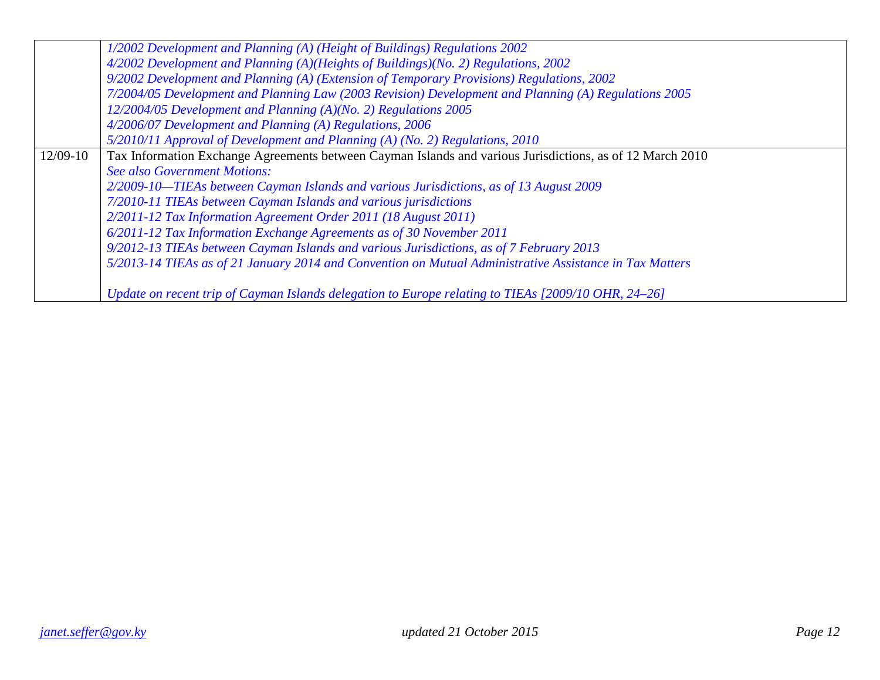|          | 1/2002 Development and Planning (A) (Height of Buildings) Regulations 2002                                |
|----------|-----------------------------------------------------------------------------------------------------------|
|          | 4/2002 Development and Planning (A)(Heights of Buildings)(No. 2) Regulations, 2002                        |
|          | 9/2002 Development and Planning (A) (Extension of Temporary Provisions) Regulations, 2002                 |
|          | 7/2004/05 Development and Planning Law (2003 Revision) Development and Planning (A) Regulations 2005      |
|          | 12/2004/05 Development and Planning (A)(No. 2) Regulations 2005                                           |
|          | 4/2006/07 Development and Planning (A) Regulations, 2006                                                  |
|          | 5/2010/11 Approval of Development and Planning (A) (No. 2) Regulations, 2010                              |
| 12/09-10 | Tax Information Exchange Agreements between Cayman Islands and various Jurisdictions, as of 12 March 2010 |
|          | <b>See also Government Motions:</b>                                                                       |
|          | 2/2009-10-TIEAs between Cayman Islands and various Jurisdictions, as of 13 August 2009                    |
|          | 7/2010-11 TIEAs between Cayman Islands and various jurisdictions                                          |
|          | 2/2011-12 Tax Information Agreement Order 2011 (18 August 2011)                                           |
|          | 6/2011-12 Tax Information Exchange Agreements as of 30 November 2011                                      |
|          | 9/2012-13 TIEAs between Cayman Islands and various Jurisdictions, as of 7 February 2013                   |
|          | 5/2013-14 TIEAs as of 21 January 2014 and Convention on Mutual Administrative Assistance in Tax Matters   |
|          |                                                                                                           |
|          | Update on recent trip of Cayman Islands delegation to Europe relating to TIEAs [2009/10 OHR, 24–26]       |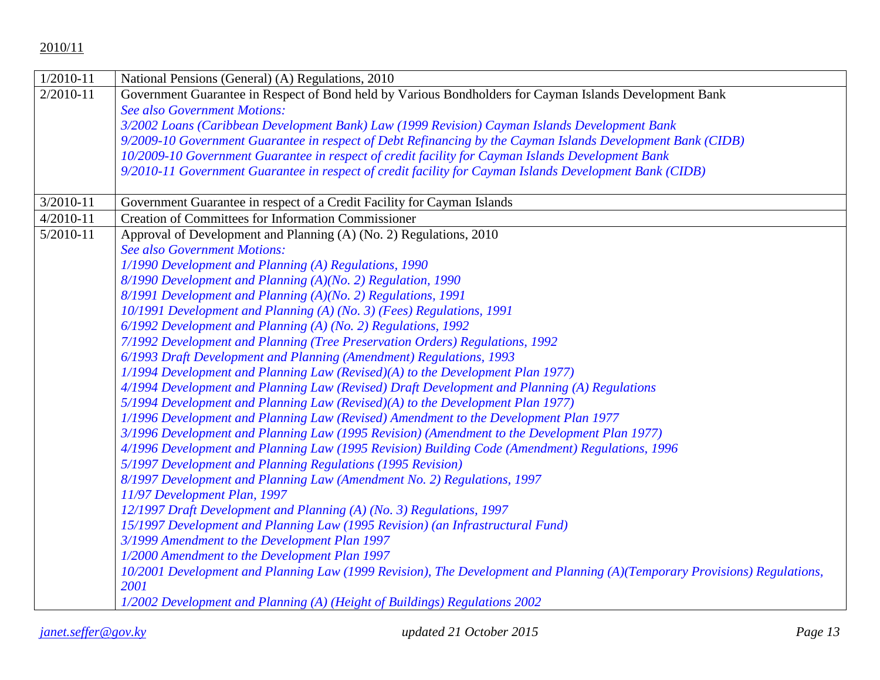| $1/2010 - 11$ | National Pensions (General) (A) Regulations, 2010                                                                         |
|---------------|---------------------------------------------------------------------------------------------------------------------------|
| $2/2010 - 11$ | Government Guarantee in Respect of Bond held by Various Bondholders for Cayman Islands Development Bank                   |
|               | <b>See also Government Motions:</b>                                                                                       |
|               | 3/2002 Loans (Caribbean Development Bank) Law (1999 Revision) Cayman Islands Development Bank                             |
|               | 9/2009-10 Government Guarantee in respect of Debt Refinancing by the Cayman Islands Development Bank (CIDB)               |
|               | 10/2009-10 Government Guarantee in respect of credit facility for Cayman Islands Development Bank                         |
|               | 9/2010-11 Government Guarantee in respect of credit facility for Cayman Islands Development Bank (CIDB)                   |
|               |                                                                                                                           |
| $3/2010 - 11$ | Government Guarantee in respect of a Credit Facility for Cayman Islands                                                   |
| $4/2010 - 11$ | <b>Creation of Committees for Information Commissioner</b>                                                                |
| $5/2010 - 11$ | Approval of Development and Planning (A) (No. 2) Regulations, 2010                                                        |
|               | <b>See also Government Motions:</b>                                                                                       |
|               | 1/1990 Development and Planning (A) Regulations, 1990                                                                     |
|               | 8/1990 Development and Planning (A)(No. 2) Regulation, 1990                                                               |
|               | 8/1991 Development and Planning (A)(No. 2) Regulations, 1991                                                              |
|               | 10/1991 Development and Planning (A) (No. 3) (Fees) Regulations, 1991                                                     |
|               | 6/1992 Development and Planning (A) (No. 2) Regulations, 1992                                                             |
|               | 7/1992 Development and Planning (Tree Preservation Orders) Regulations, 1992                                              |
|               | 6/1993 Draft Development and Planning (Amendment) Regulations, 1993                                                       |
|               | 1/1994 Development and Planning Law (Revised)(A) to the Development Plan 1977)                                            |
|               | 4/1994 Development and Planning Law (Revised) Draft Development and Planning (A) Regulations                              |
|               | 5/1994 Development and Planning Law (Revised)(A) to the Development Plan 1977)                                            |
|               | 1/1996 Development and Planning Law (Revised) Amendment to the Development Plan 1977                                      |
|               | 3/1996 Development and Planning Law (1995 Revision) (Amendment to the Development Plan 1977)                              |
|               | 4/1996 Development and Planning Law (1995 Revision) Building Code (Amendment) Regulations, 1996                           |
|               | 5/1997 Development and Planning Regulations (1995 Revision)                                                               |
|               | 8/1997 Development and Planning Law (Amendment No. 2) Regulations, 1997                                                   |
|               | 11/97 Development Plan, 1997                                                                                              |
|               | 12/1997 Draft Development and Planning (A) (No. 3) Regulations, 1997                                                      |
|               | 15/1997 Development and Planning Law (1995 Revision) (an Infrastructural Fund)                                            |
|               | 3/1999 Amendment to the Development Plan 1997                                                                             |
|               | 1/2000 Amendment to the Development Plan 1997                                                                             |
|               | 10/2001 Development and Planning Law (1999 Revision), The Development and Planning (A)(Temporary Provisions) Regulations, |
|               | 2001                                                                                                                      |
|               | 1/2002 Development and Planning (A) (Height of Buildings) Regulations 2002                                                |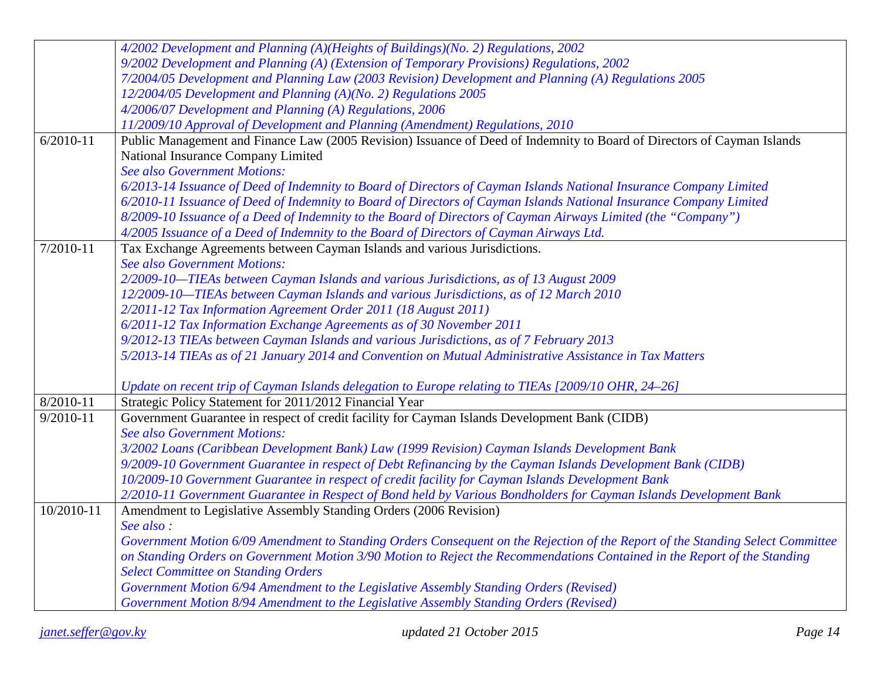|               | 4/2002 Development and Planning (A)(Heights of Buildings)(No. 2) Regulations, 2002                                             |
|---------------|--------------------------------------------------------------------------------------------------------------------------------|
|               | 9/2002 Development and Planning (A) (Extension of Temporary Provisions) Regulations, 2002                                      |
|               | 7/2004/05 Development and Planning Law (2003 Revision) Development and Planning (A) Regulations 2005                           |
|               | 12/2004/05 Development and Planning (A)(No. 2) Regulations 2005                                                                |
|               | 4/2006/07 Development and Planning (A) Regulations, 2006                                                                       |
|               | 11/2009/10 Approval of Development and Planning (Amendment) Regulations, 2010                                                  |
| $6/2010 - 11$ | Public Management and Finance Law (2005 Revision) Issuance of Deed of Indemnity to Board of Directors of Cayman Islands        |
|               | National Insurance Company Limited                                                                                             |
|               | <b>See also Government Motions:</b>                                                                                            |
|               | 6/2013-14 Issuance of Deed of Indemnity to Board of Directors of Cayman Islands National Insurance Company Limited             |
|               | 6/2010-11 Issuance of Deed of Indemnity to Board of Directors of Cayman Islands National Insurance Company Limited             |
|               | 8/2009-10 Issuance of a Deed of Indemnity to the Board of Directors of Cayman Airways Limited (the "Company")                  |
|               | 4/2005 Issuance of a Deed of Indemnity to the Board of Directors of Cayman Airways Ltd.                                        |
| 7/2010-11     | Tax Exchange Agreements between Cayman Islands and various Jurisdictions.                                                      |
|               | <b>See also Government Motions:</b>                                                                                            |
|               | 2/2009-10-TIEAs between Cayman Islands and various Jurisdictions, as of 13 August 2009                                         |
|               | 12/2009-10-TIEAs between Cayman Islands and various Jurisdictions, as of 12 March 2010                                         |
|               | 2/2011-12 Tax Information Agreement Order 2011 (18 August 2011)                                                                |
|               | 6/2011-12 Tax Information Exchange Agreements as of 30 November 2011                                                           |
|               | 9/2012-13 TIEAs between Cayman Islands and various Jurisdictions, as of 7 February 2013                                        |
|               | 5/2013-14 TIEAs as of 21 January 2014 and Convention on Mutual Administrative Assistance in Tax Matters                        |
|               |                                                                                                                                |
|               | Update on recent trip of Cayman Islands delegation to Europe relating to TIEAs [2009/10 OHR, 24-26]                            |
| 8/2010-11     | Strategic Policy Statement for 2011/2012 Financial Year                                                                        |
| $9/2010 - 11$ | Government Guarantee in respect of credit facility for Cayman Islands Development Bank (CIDB)                                  |
|               | <b>See also Government Motions:</b>                                                                                            |
|               | 3/2002 Loans (Caribbean Development Bank) Law (1999 Revision) Cayman Islands Development Bank                                  |
|               | 9/2009-10 Government Guarantee in respect of Debt Refinancing by the Cayman Islands Development Bank (CIDB)                    |
|               | 10/2009-10 Government Guarantee in respect of credit facility for Cayman Islands Development Bank                              |
|               | 2/2010-11 Government Guarantee in Respect of Bond held by Various Bondholders for Cayman Islands Development Bank              |
| 10/2010-11    | Amendment to Legislative Assembly Standing Orders (2006 Revision)                                                              |
|               | See also:                                                                                                                      |
|               | Government Motion 6/09 Amendment to Standing Orders Consequent on the Rejection of the Report of the Standing Select Committee |
|               | on Standing Orders on Government Motion 3/90 Motion to Reject the Recommendations Contained in the Report of the Standing      |
|               | <b>Select Committee on Standing Orders</b>                                                                                     |
|               | Government Motion 6/94 Amendment to the Legislative Assembly Standing Orders (Revised)                                         |
|               | Government Motion 8/94 Amendment to the Legislative Assembly Standing Orders (Revised)                                         |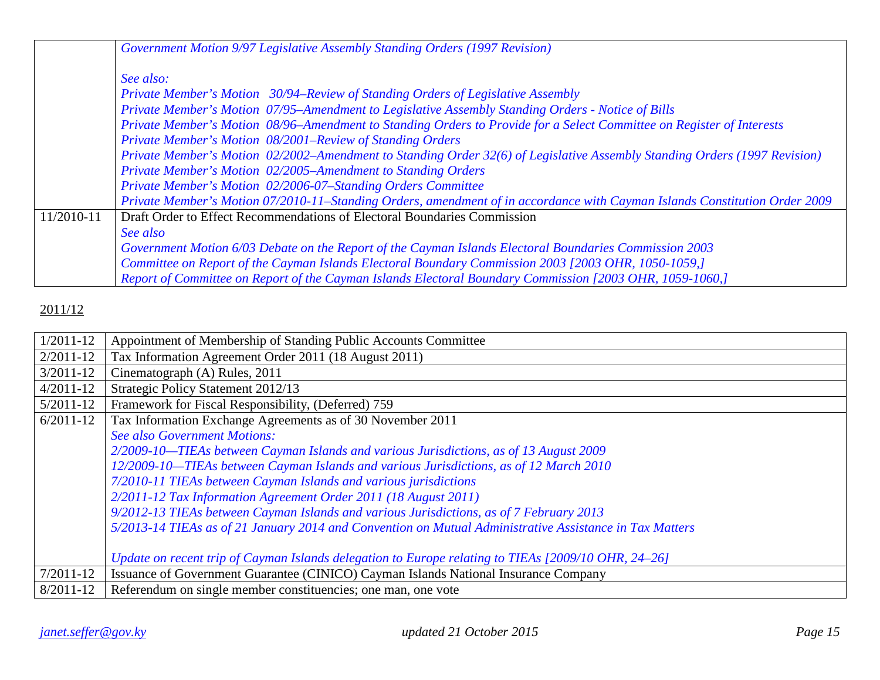|            | Government Motion 9/97 Legislative Assembly Standing Orders (1997 Revision)                                                |
|------------|----------------------------------------------------------------------------------------------------------------------------|
|            | See also:                                                                                                                  |
|            | Private Member's Motion 30/94–Review of Standing Orders of Legislative Assembly                                            |
|            | Private Member's Motion 07/95-Amendment to Legislative Assembly Standing Orders - Notice of Bills                          |
|            | Private Member's Motion 08/96-Amendment to Standing Orders to Provide for a Select Committee on Register of Interests      |
|            | Private Member's Motion 08/2001–Review of Standing Orders                                                                  |
|            | Private Member's Motion 02/2002-Amendment to Standing Order 32(6) of Legislative Assembly Standing Orders (1997 Revision)  |
|            | Private Member's Motion 02/2005-Amendment to Standing Orders                                                               |
|            | Private Member's Motion 02/2006-07-Standing Orders Committee                                                               |
|            | Private Member's Motion 07/2010-11-Standing Orders, amendment of in accordance with Cayman Islands Constitution Order 2009 |
| 11/2010-11 | Draft Order to Effect Recommendations of Electoral Boundaries Commission                                                   |
|            | See also                                                                                                                   |
|            | Government Motion 6/03 Debate on the Report of the Cayman Islands Electoral Boundaries Commission 2003                     |
|            | Committee on Report of the Cayman Islands Electoral Boundary Commission 2003 [2003 OHR, 1050-1059,]                        |
|            | Report of Committee on Report of the Cayman Islands Electoral Boundary Commission [2003 OHR, 1059-1060,]                   |

| $1/2011 - 12$ | Appointment of Membership of Standing Public Accounts Committee                                         |
|---------------|---------------------------------------------------------------------------------------------------------|
| $2/2011 - 12$ | Tax Information Agreement Order 2011 (18 August 2011)                                                   |
| $3/2011 - 12$ | Cinematograph (A) Rules, 2011                                                                           |
| $4/2011 - 12$ | Strategic Policy Statement 2012/13                                                                      |
| $5/2011 - 12$ | Framework for Fiscal Responsibility, (Deferred) 759                                                     |
| $6/2011-12$   | Tax Information Exchange Agreements as of 30 November 2011                                              |
|               | <b>See also Government Motions:</b>                                                                     |
|               | 2/2009-10—TIEAs between Cayman Islands and various Jurisdictions, as of 13 August 2009                  |
|               | 12/2009-10-TIEAs between Cayman Islands and various Jurisdictions, as of 12 March 2010                  |
|               | 7/2010-11 TIEAs between Cayman Islands and various jurisdictions                                        |
|               | 2/2011-12 Tax Information Agreement Order 2011 (18 August 2011)                                         |
|               | 9/2012-13 TIEAs between Cayman Islands and various Jurisdictions, as of 7 February 2013                 |
|               | 5/2013-14 TIEAs as of 21 January 2014 and Convention on Mutual Administrative Assistance in Tax Matters |
|               |                                                                                                         |
|               | Update on recent trip of Cayman Islands delegation to Europe relating to TIEAs [2009/10 OHR, 24–26]     |
| $7/2011 - 12$ | Issuance of Government Guarantee (CINICO) Cayman Islands National Insurance Company                     |
| $8/2011 - 12$ | Referendum on single member constituencies; one man, one vote                                           |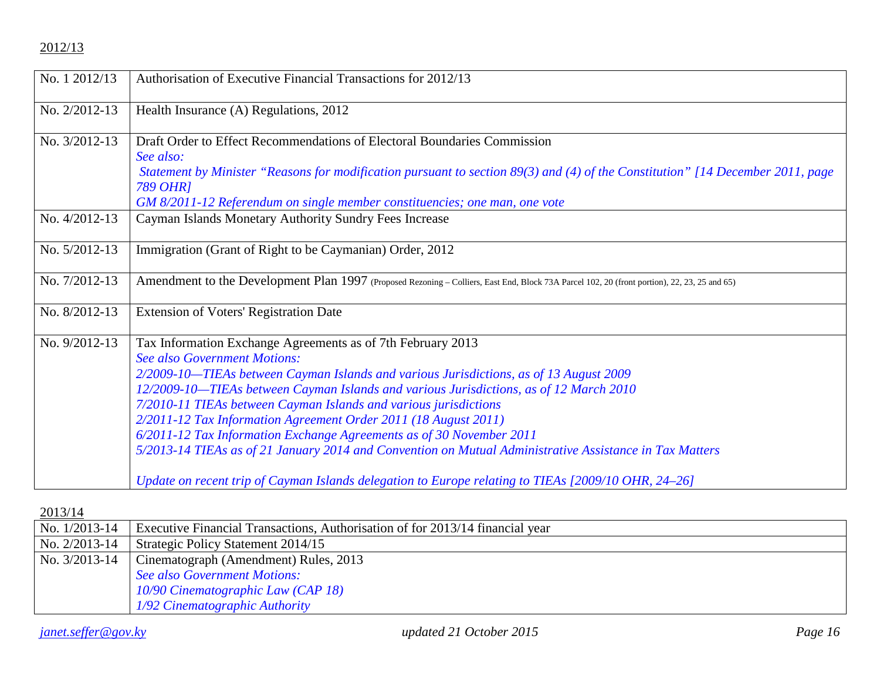| No. 1 2012/13 | Authorisation of Executive Financial Transactions for 2012/13                                                                                                                                                                                                                                                                                                                                                                                                                                                                                                                                                                                                                                                           |
|---------------|-------------------------------------------------------------------------------------------------------------------------------------------------------------------------------------------------------------------------------------------------------------------------------------------------------------------------------------------------------------------------------------------------------------------------------------------------------------------------------------------------------------------------------------------------------------------------------------------------------------------------------------------------------------------------------------------------------------------------|
| No. 2/2012-13 | Health Insurance (A) Regulations, 2012                                                                                                                                                                                                                                                                                                                                                                                                                                                                                                                                                                                                                                                                                  |
| No. 3/2012-13 | Draft Order to Effect Recommendations of Electoral Boundaries Commission<br>See also:<br>Statement by Minister "Reasons for modification pursuant to section 89(3) and (4) of the Constitution" [14 December 2011, page<br><b>789 OHR1</b><br>GM 8/2011-12 Referendum on single member constituencies; one man, one vote                                                                                                                                                                                                                                                                                                                                                                                                |
| No. 4/2012-13 | Cayman Islands Monetary Authority Sundry Fees Increase                                                                                                                                                                                                                                                                                                                                                                                                                                                                                                                                                                                                                                                                  |
| No. 5/2012-13 | Immigration (Grant of Right to be Caymanian) Order, 2012                                                                                                                                                                                                                                                                                                                                                                                                                                                                                                                                                                                                                                                                |
| No. 7/2012-13 | Amendment to the Development Plan 1997 (Proposed Rezoning - Colliers, East End, Block 73A Parcel 102, 20 (front portion), 22, 23, 25 and 65)                                                                                                                                                                                                                                                                                                                                                                                                                                                                                                                                                                            |
| No. 8/2012-13 | <b>Extension of Voters' Registration Date</b>                                                                                                                                                                                                                                                                                                                                                                                                                                                                                                                                                                                                                                                                           |
| No. 9/2012-13 | Tax Information Exchange Agreements as of 7th February 2013<br><b>See also Government Motions:</b><br>2/2009-10-TIEAs between Cayman Islands and various Jurisdictions, as of 13 August 2009<br>12/2009-10-TIEAs between Cayman Islands and various Jurisdictions, as of 12 March 2010<br>7/2010-11 TIEAs between Cayman Islands and various jurisdictions<br>2/2011-12 Tax Information Agreement Order 2011 (18 August 2011)<br>6/2011-12 Tax Information Exchange Agreements as of 30 November 2011<br>5/2013-14 TIEAs as of 21 January 2014 and Convention on Mutual Administrative Assistance in Tax Matters<br>Update on recent trip of Cayman Islands delegation to Europe relating to TIEAs [2009/10 OHR, 24-26] |
|               |                                                                                                                                                                                                                                                                                                                                                                                                                                                                                                                                                                                                                                                                                                                         |

| No. 1/2013-14   | Executive Financial Transactions, Authorisation of for 2013/14 financial year |
|-----------------|-------------------------------------------------------------------------------|
| No. $2/2013-14$ | Strategic Policy Statement 2014/15                                            |
| No. 3/2013-14   | Cinematograph (Amendment) Rules, 2013                                         |
|                 | See also Government Motions:                                                  |
|                 | 10/90 Cinematographic Law (CAP 18)                                            |
|                 | 1/92 Cinematographic Authority                                                |